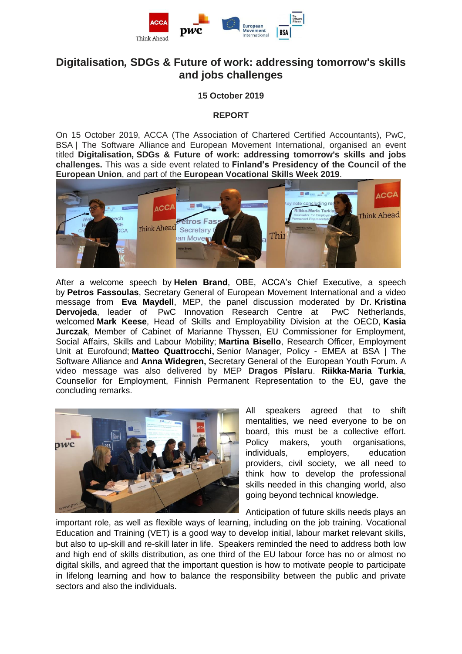

# **Digitalisation***,* **SDGs & Future of work: addressing tomorrow's skills and jobs challenges**

### **15 October 2019**

#### **REPORT**

On 15 October 2019, ACCA (The Association of Chartered Certified Accountants), PwC, BSA | The Software Alliance and European Movement International, organised an event titled **Digitalisation, SDGs & Future of work: addressing tomorrow's skills and jobs challenges.** This was a side event related to **Finland's Presidency of the Council of the European Union**, and part of the **European Vocational Skills Week 2019**.



After a welcome speech by **Helen Brand**, OBE, ACCA's Chief Executive, a speech by **Petros Fassoulas**, Secretary General of European Movement International and a video message from **Eva Maydell**, MEP, the panel discussion moderated by Dr. **Kristina Dervojeda**, leader of PwC Innovation Research Centre at PwC Netherlands, welcomed **Mark Keese**, Head of Skills and Employability Division at the OECD, **Kasia Jurczak**, Member of Cabinet of Marianne Thyssen, EU Commissioner for Employment, Social Affairs, Skills and Labour Mobility; **Martina Bisello**, Research Officer, Employment Unit at Eurofound; **Matteo Quattrocchi,** Senior Manager, Policy - EMEA at BSA | The Software Alliance and **Anna Widegren,** Secretary General of the European Youth Forum*.* A video message was also delivered by MEP **Dragos Pîslaru**. **Riikka-Maria Turkia**, Counsellor for Employment, Finnish Permanent Representation to the EU, gave the concluding remarks.



All speakers agreed that to shift mentalities, we need everyone to be on board, this must be a collective effort. Policy makers, youth organisations, individuals, employers, education providers, civil society, we all need to think how to develop the professional skills needed in this changing world, also going beyond technical knowledge.

Anticipation of future skills needs plays an

important role, as well as flexible ways of learning, including on the job training. Vocational Education and Training (VET) is a good way to develop initial, labour market relevant skills, but also to up-skill and re-skill later in life. Speakers reminded the need to address both low and high end of skills distribution, as one third of the EU labour force has no or almost no digital skills, and agreed that the important question is how to motivate people to participate in lifelong learning and how to balance the responsibility between the public and private sectors and also the individuals.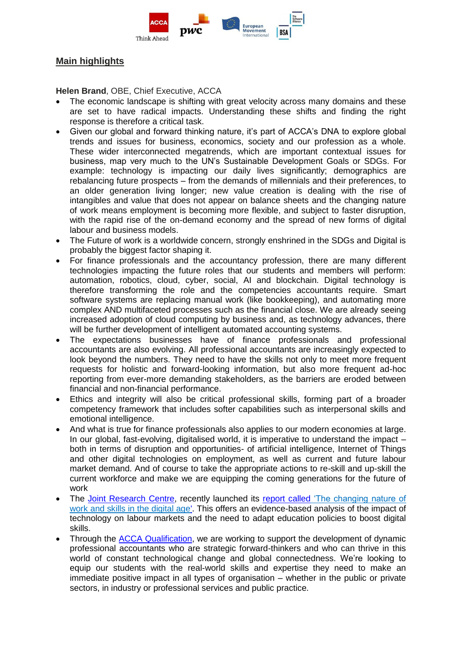

## **Main highlights**

**Helen Brand**, OBE, Chief Executive, ACCA

- The economic landscape is shifting with great velocity across many domains and these are set to have radical impacts. Understanding these shifts and finding the right response is therefore a critical task.
- Given our global and forward thinking nature, it's part of ACCA's DNA to explore global trends and issues for business, economics, society and our profession as a whole. These wider interconnected megatrends, which are important contextual issues for business, map very much to the UN's Sustainable Development Goals or SDGs. For example: technology is impacting our daily lives significantly; demographics are rebalancing future prospects – from the demands of millennials and their preferences, to an older generation living longer; new value creation is dealing with the rise of intangibles and value that does not appear on balance sheets and the changing nature of work means employment is becoming more flexible, and subject to faster disruption, with the rapid rise of the on-demand economy and the spread of new forms of digital labour and business models.
- The Future of work is a worldwide concern, strongly enshrined in the SDGs and Digital is probably the biggest factor shaping it.
- For finance professionals and the accountancy profession, there are many different technologies impacting the future roles that our students and members will perform: automation, robotics, cloud, cyber, social, AI and blockchain. Digital technology is therefore transforming the role and the competencies accountants require. Smart software systems are replacing manual work (like bookkeeping), and automating more complex AND multifaceted processes such as the financial close. We are already seeing increased adoption of cloud computing by business and, as technology advances, there will be further development of intelligent automated accounting systems.
- The expectations businesses have of finance professionals and professional accountants are also evolving. All professional accountants are increasingly expected to look beyond the numbers. They need to have the skills not only to meet more frequent requests for holistic and forward-looking information, but also more frequent ad-hoc reporting from ever-more demanding stakeholders, as the barriers are eroded between financial and non-financial performance.
- Ethics and integrity will also be critical professional skills, forming part of a broader competency framework that includes softer capabilities such as interpersonal skills and emotional intelligence.
- And what is true for finance professionals also applies to our modern economies at large. In our global, fast-evolving, digitalised world, it is imperative to understand the impact – both in terms of disruption and opportunities- of artificial intelligence, Internet of Things and other digital technologies on employment, as well as current and future labour market demand. And of course to take the appropriate actions to re-skill and up-skill the current workforce and make we are equipping the coming generations for the future of work
- The [Joint Research Centre,](https://ec.europa.eu/jrc/sites/jrcsh/files/jrc_paper-eu-policy-making-based-on-facts.pdf) recently launched its report called ['The changing nature of](https://ec.europa.eu/jrc/en/news/how-technological-revolution-changing-world-work-and-skills-eu)  [work and skills in the digital age'.](https://ec.europa.eu/jrc/en/news/how-technological-revolution-changing-world-work-and-skills-eu) This offers an evidence-based analysis of the impact of technology on labour markets and the need to adapt education policies to boost digital skills.
- Through the [ACCA Qualification,](https://www.accaglobal.com/lk/en/qualifications/glance.html) we are working to support the development of dynamic professional accountants who are strategic forward-thinkers and who can thrive in this world of constant technological change and global connectedness. We're looking to equip our students with the real-world skills and expertise they need to make an immediate positive impact in all types of organisation – whether in the public or private sectors, in industry or professional services and public practice.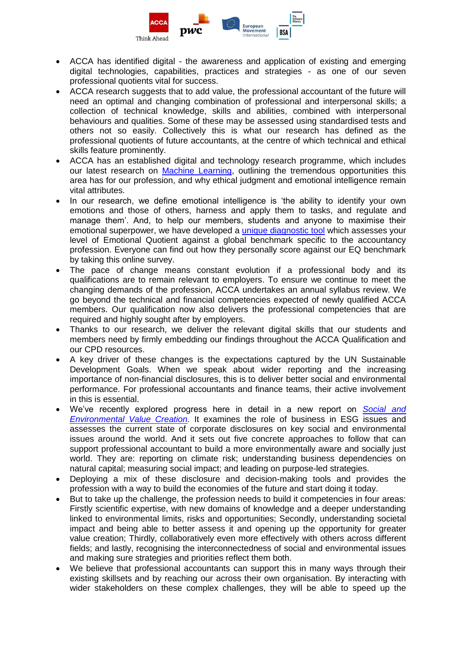

- ACCA has identified digital the awareness and application of existing and emerging digital technologies, capabilities, practices and strategies - as one of our seven professional quotients vital for success.
- ACCA research suggests that to add value, the professional accountant of the future will need an optimal and changing combination of professional and interpersonal skills; a collection of technical knowledge, skills and abilities, combined with interpersonal behaviours and qualities. Some of these may be assessed using standardised tests and others not so easily. Collectively this is what our research has defined as the professional quotients of future accountants, at the centre of which technical and ethical skills feature prominently.
- ACCA has an established digital and technology research programme, which includes our latest research on [Machine Learning,](https://www.accaglobal.com/gb/en/professional-insights/technology/machine-learning.html) outlining the tremendous opportunities this area has for our profession, and why ethical judgment and emotional intelligence remain vital attributes.
- In our research, we define emotional intelligence is 'the ability to identify your own emotions and those of others, harness and apply them to tasks, and regulate and manage them'. And, to help our members, students and anyone to maximise their emotional superpower, we have developed a [unique diagnostic tool](https://www.accaglobal.com/uk/en/professional-insights/pro-accountants-the-future/emotional-quotient-in-a-digital-age.html) which assesses your level of Emotional Quotient against a global benchmark specific to the accountancy profession. Everyone can find out how they personally score against our EQ benchmark by taking this online survey.
- The pace of change means constant evolution if a professional body and its qualifications are to remain relevant to employers. To ensure we continue to meet the changing demands of the profession, ACCA undertakes an annual syllabus review. We go beyond the technical and financial competencies expected of newly qualified ACCA members. Our qualification now also delivers the professional competencies that are required and highly sought after by employers.
- Thanks to our research, we deliver the relevant digital skills that our students and members need by firmly embedding our findings throughout the ACCA Qualification and our CPD resources.
- A key driver of these changes is the expectations captured by the UN Sustainable Development Goals. When we speak about wider reporting and the increasing importance of non-financial disclosures, this is to deliver better social and environmental performance. For professional accountants and finance teams, their active involvement in this is essential.
- We've recently explored progress here in detail in a new report on *[Social and](https://www.accaglobal.com/gb/en/professional-insights/global-profession/Social_and_environmental_value_creation.html)  [Environmental Value Creation.](https://www.accaglobal.com/gb/en/professional-insights/global-profession/Social_and_environmental_value_creation.html)* It examines the role of business in ESG issues and assesses the current state of corporate disclosures on key social and environmental issues around the world. And it sets out five concrete approaches to follow that can support professional accountant to build a more environmentally aware and socially just world. They are: reporting on climate risk; understanding business dependencies on natural capital; measuring social impact; and leading on purpose-led strategies.
- Deploying a mix of these disclosure and decision-making tools and provides the profession with a way to build the economies of the future and start doing it today.
- But to take up the challenge, the profession needs to build it competencies in four areas: Firstly scientific expertise, with new domains of knowledge and a deeper understanding linked to environmental limits, risks and opportunities; Secondly, understanding societal impact and being able to better assess it and opening up the opportunity for greater value creation; Thirdly, collaboratively even more effectively with others across different fields; and lastly, recognising the interconnectedness of social and environmental issues and making sure strategies and priorities reflect them both.
- We believe that professional accountants can support this in many ways through their existing skillsets and by reaching our across their own organisation. By interacting with wider stakeholders on these complex challenges, they will be able to speed up the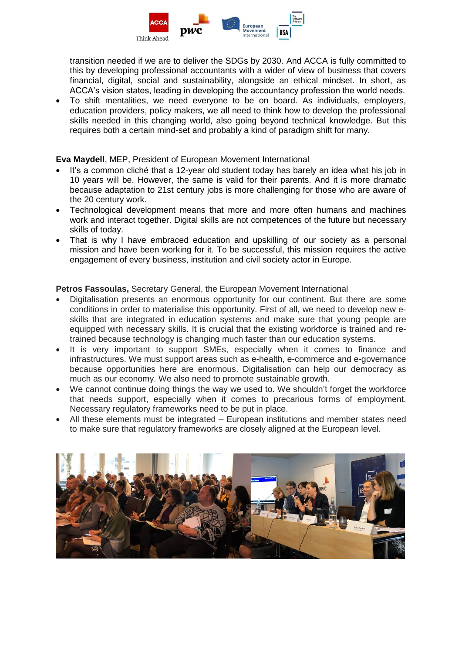

transition needed if we are to deliver the SDGs by 2030. And ACCA is fully committed to this by developing professional accountants with a wider of view of business that covers financial, digital, social and sustainability, alongside an ethical mindset. In short, as ACCA's vision states, leading in developing the accountancy profession the world needs.

 To shift mentalities, we need everyone to be on board. As individuals, employers, education providers, policy makers, we all need to think how to develop the professional skills needed in this changing world, also going beyond technical knowledge. But this requires both a certain mind-set and probably a kind of paradigm shift for many.

**Eva Maydell**, MEP, President of European Movement International

- It's a common cliché that a 12-year old student today has barely an idea what his job in 10 years will be. However, the same is valid for their parents. And it is more dramatic because adaptation to 21st century jobs is more challenging for those who are aware of the 20 century work.
- Technological development means that more and more often humans and machines work and interact together. Digital skills are not competences of the future but necessary skills of today.
- That is why I have embraced education and upskilling of our society as a personal mission and have been working for it. To be successful, this mission requires the active engagement of every business, institution and civil society actor in Europe.

**Petros Fassoulas,** Secretary General, the European Movement International

- Digitalisation presents an enormous opportunity for our continent. But there are some conditions in order to materialise this opportunity. First of all, we need to develop new eskills that are integrated in education systems and make sure that young people are equipped with necessary skills. It is crucial that the existing workforce is trained and retrained because technology is changing much faster than our education systems.
- It is very important to support SMEs, especially when it comes to finance and infrastructures. We must support areas such as e-health, e-commerce and e-governance because opportunities here are enormous. Digitalisation can help our democracy as much as our economy. We also need to promote sustainable growth.
- We cannot continue doing things the way we used to. We shouldn't forget the workforce that needs support, especially when it comes to precarious forms of employment. Necessary regulatory frameworks need to be put in place.
- All these elements must be integrated European institutions and member states need to make sure that regulatory frameworks are closely aligned at the European level.

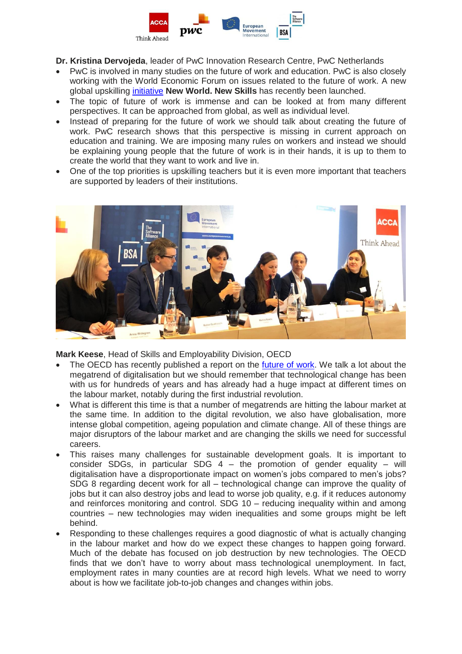

- **Dr. Kristina Dervojeda**, leader of PwC Innovation Research Centre, PwC Netherlands
- PwC is involved in many studies on the future of work and education. PwC is also closely working with the World Economic Forum on issues related to the future of work. A new global upskilling [initiative](https://www.pwc.com/gx/en/issues/upskilling.html) **New World. New Skills** has recently been launched.
- The topic of future of work is immense and can be looked at from many different perspectives. It can be approached from global, as well as individual level.
- Instead of preparing for the future of work we should talk about creating the future of work. PwC research shows that this perspective is missing in current approach on education and training. We are imposing many rules on workers and instead we should be explaining young people that the future of work is in their hands, it is up to them to create the world that they want to work and live in.
- One of the top priorities is upskilling teachers but it is even more important that teachers are supported by leaders of their institutions.



**Mark Keese**, Head of Skills and Employability Division, OECD

- The OECD has recently published a report on the [future](https://www.oecd.org/employment/future-of-work/) of work. We talk a lot about the megatrend of digitalisation but we should remember that technological change has been with us for hundreds of years and has already had a huge impact at different times on the labour market, notably during the first industrial revolution.
- What is different this time is that a number of megatrends are hitting the labour market at the same time. In addition to the digital revolution, we also have globalisation, more intense global competition, ageing population and climate change. All of these things are major disruptors of the labour market and are changing the skills we need for successful careers.
- This raises many challenges for sustainable development goals. It is important to consider SDGs, in particular SDG  $4 -$  the promotion of gender equality – will digitalisation have a disproportionate impact on women's jobs compared to men's jobs? SDG 8 regarding decent work for all – technological change can improve the quality of jobs but it can also destroy jobs and lead to worse job quality, e.g. if it reduces autonomy and reinforces monitoring and control. SDG 10 – reducing inequality within and among countries – new technologies may widen inequalities and some groups might be left behind.
- Responding to these challenges requires a good diagnostic of what is actually changing in the labour market and how do we expect these changes to happen going forward. Much of the debate has focused on job destruction by new technologies. The OECD finds that we don't have to worry about mass technological unemployment. In fact, employment rates in many counties are at record high levels. What we need to worry about is how we facilitate job-to-job changes and changes within jobs.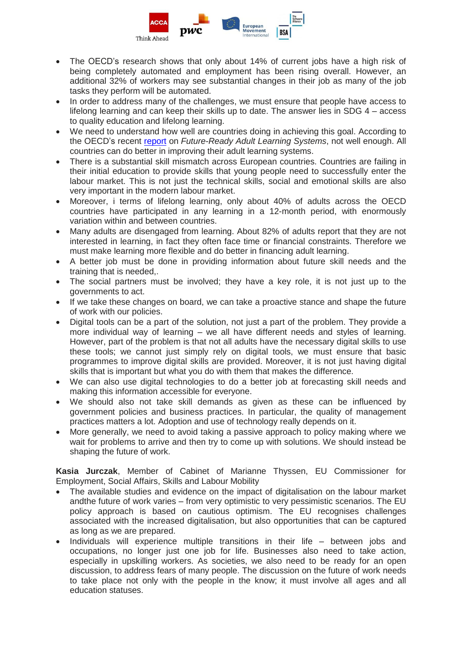

- The OECD's research shows that only about 14% of current jobs have a high risk of being completely automated and employment has been rising overall. However, an additional 32% of workers may see substantial changes in their job as many of the job tasks they perform will be automated.
- In order to address many of the challenges, we must ensure that people have access to lifelong learning and can keep their skills up to date. The answer lies in SDG 4 – access to quality education and lifelong learning.
- We need to understand how well are countries doing in achieving this goal. According to the OECD's recent [report](http://www.oecd.org/fr/publications/getting-skills-right-future-ready-adult-learning-systems-9789264311756-en.htm) on *Future-Ready Adult Learning Systems*, not well enough. All countries can do better in improving their adult learning systems.
- There is a substantial skill mismatch across European countries. Countries are failing in their initial education to provide skills that young people need to successfully enter the labour market. This is not just the technical skills, social and emotional skills are also very important in the modern labour market.
- Moreover, i terms of lifelong learning, only about 40% of adults across the OECD countries have participated in any learning in a 12-month period, with enormously variation within and between countries.
- Many adults are disengaged from learning. About 82% of adults report that they are not interested in learning, in fact they often face time or financial constraints. Therefore we must make learning more flexible and do better in financing adult learning.
- A better job must be done in providing information about future skill needs and the training that is needed,.
- The social partners must be involved; they have a key role, it is not just up to the governments to act.
- If we take these changes on board, we can take a proactive stance and shape the future of work with our policies.
- Digital tools can be a part of the solution, not just a part of the problem. They provide a more individual way of learning – we all have different needs and styles of learning. However, part of the problem is that not all adults have the necessary digital skills to use these tools; we cannot just simply rely on digital tools, we must ensure that basic programmes to improve digital skills are provided. Moreover, it is not just having digital skills that is important but what you do with them that makes the difference.
- We can also use digital technologies to do a better job at forecasting skill needs and making this information accessible for everyone.
- We should also not take skill demands as given as these can be influenced by government policies and business practices. In particular, the quality of management practices matters a lot. Adoption and use of technology really depends on it.
- More generally, we need to avoid taking a passive approach to policy making where we wait for problems to arrive and then try to come up with solutions. We should instead be shaping the future of work.

**Kasia Jurczak**, Member of Cabinet of Marianne Thyssen, EU Commissioner for Employment, Social Affairs, Skills and Labour Mobility

- The available studies and evidence on the impact of digitalisation on the labour market andthe future of work varies – from very optimistic to very pessimistic scenarios. The EU policy approach is based on cautious optimism. The EU recognises challenges associated with the increased digitalisation, but also opportunities that can be captured as long as we are prepared.
- Individuals will experience multiple transitions in their life between jobs and occupations, no longer just one job for life. Businesses also need to take action, especially in upskilling workers. As societies, we also need to be ready for an open discussion, to address fears of many people. The discussion on the future of work needs to take place not only with the people in the know; it must involve all ages and all education statuses.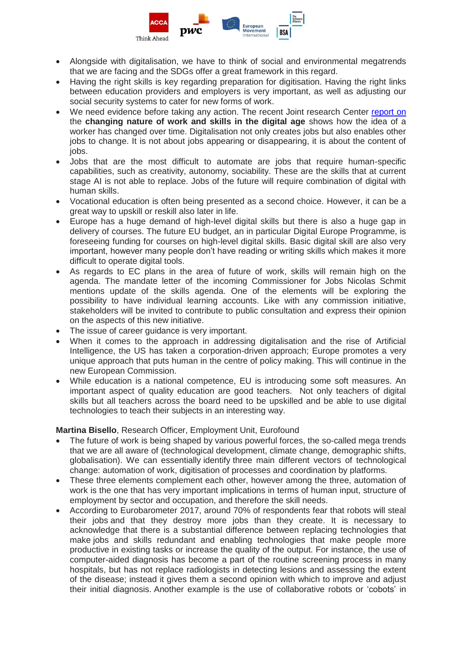

- Alongside with digitalisation, we have to think of social and environmental megatrends that we are facing and the SDGs offer a great framework in this regard.
- Having the right skills is key regarding preparation for digitisation. Having the right links between education providers and employers is very important, as well as adjusting our social security systems to cater for new forms of work.
- We need evidence before taking any action. The recent Joint research Center [report](https://ec.europa.eu/jrc/en/publication/eur-scientific-and-technical-research-reports/changing-nature-work-and-skills-digital-age) on the **changing nature of work and skills in the digital age** shows how the idea of a worker has changed over time. Digitalisation not only creates jobs but also enables other jobs to change. It is not about jobs appearing or disappearing, it is about the content of jobs.
- Jobs that are the most difficult to automate are jobs that require human-specific capabilities, such as creativity, autonomy, sociability. These are the skills that at current stage AI is not able to replace. Jobs of the future will require combination of digital with human skills.
- Vocational education is often being presented as a second choice. However, it can be a great way to upskill or reskill also later in life.
- Europe has a huge demand of high-level digital skills but there is also a huge gap in delivery of courses. The future EU budget, an in particular Digital Europe Programme, is foreseeing funding for courses on high-level digital skills. Basic digital skill are also very important, however many people don't have reading or writing skills which makes it more difficult to operate digital tools.
- As regards to EC plans in the area of future of work, skills will remain high on the agenda. The mandate letter of the incoming Commissioner for Jobs Nicolas Schmit mentions update of the skills agenda. One of the elements will be exploring the possibility to have individual learning accounts. Like with any commission initiative, stakeholders will be invited to contribute to public consultation and express their opinion on the aspects of this new initiative.
- The issue of career guidance is very important.
- When it comes to the approach in addressing digitalisation and the rise of Artificial Intelligence, the US has taken a corporation-driven approach; Europe promotes a very unique approach that puts human in the centre of policy making. This will continue in the new European Commission.
- While education is a national competence, EU is introducing some soft measures. An important aspect of quality education are good teachers. Not only teachers of digital skills but all teachers across the board need to be upskilled and be able to use digital technologies to teach their subjects in an interesting way.

### **Martina Bisello**, Research Officer, Employment Unit, Eurofound

- The future of work is being shaped by various powerful forces, the so-called mega trends that we are all aware of (technological development, climate change, demographic shifts, globalisation). We can essentially identify three main different vectors of technological change: automation of work, digitisation of processes and coordination by platforms.
- These three elements complement each other, however among the three, automation of work is the one that has very important implications in terms of human input, structure of employment by sector and occupation, and therefore the skill needs.
- According to Eurobarometer 2017, around 70% of respondents fear that robots will steal their jobs and that they destroy more jobs than they create. It is necessary to acknowledge that there is a substantial difference between replacing technologies that make jobs and skills redundant and enabling technologies that make people more productive in existing tasks or increase the quality of the output. For instance, the use of computer-aided diagnosis has become a part of the routine screening process in many hospitals, but has not replace radiologists in detecting lesions and assessing the extent of the disease; instead it gives them a second opinion with which to improve and adjust their initial diagnosis. Another example is the use of collaborative robots or 'cobots' in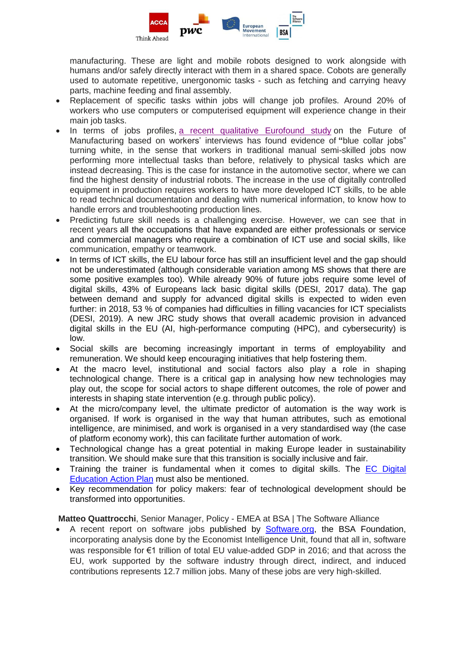

manufacturing. These are light and mobile robots designed to work alongside with humans and/or safely directly interact with them in a shared space. Cobots are generally used to automate repetitive, unergonomic tasks - such as fetching and carrying heavy parts, machine feeding and final assembly.

- Replacement of specific tasks within jobs will change job profiles. Around 20% of workers who use computers or computerised equipment will experience change in their main job tasks.
- In terms of jobs profiles, a recent qualitative [Eurofound](https://gbr01.safelinks.protection.outlook.com/?url=https%3A%2F%2Fwww.eurofound.europa.eu%2Fpublications%2Freport%2F2018%2Fnew-tasks-in-old-jobs-drivers-of-change-and-implications-for-job-quality&data=02%7C01%7CVikte.Adduci%40accaglobal.com%7Cfb3f101c2cd5438fdb0708d74c9f97fa%7Cf2e7de2c59ba49fe8c684cd333f96b01%7C0%7C0%7C637062121038202011&sdata=EiVFXCB%2FB%2FcIA5Y%2FDWUZaBrgi5nC%2BTI%2FVqMWGMLlU34%3D&reserved=0) study on the Future of Manufacturing based on workers' interviews has found evidence of **"**blue collar jobs" turning white, in the sense that workers in traditional manual semi-skilled jobs now performing more intellectual tasks than before, relatively to physical tasks which are instead decreasing. This is the case for instance in the automotive sector, where we can find the highest density of industrial robots. The increase in the use of digitally controlled equipment in production requires workers to have more developed ICT skills, to be able to read technical documentation and dealing with numerical information, to know how to handle errors and troubleshooting production lines.
- Predicting future skill needs is a challenging exercise. However, we can see that in recent years all the occupations that have expanded are either professionals or service and commercial managers who require a combination of ICT use and social skills, like communication, empathy or teamwork.
- In terms of ICT skills, the EU labour force has still an insufficient level and the gap should not be underestimated (although considerable variation among MS shows that there are some positive examples too). While already 90% of future jobs require some level of digital skills, 43% of Europeans lack basic digital skills (DESI, 2017 data). The gap between demand and supply for advanced digital skills is expected to widen even further: in 2018, 53 % of companies had difficulties in filling vacancies for ICT specialists (DESI, 2019). A new JRC study shows that overall academic provision in advanced digital skills in the EU (AI, high-performance computing (HPC), and cybersecurity) is low.
- Social skills are becoming increasingly important in terms of employability and remuneration. We should keep encouraging initiatives that help fostering them.
- At the macro level, institutional and social factors also play a role in shaping technological change. There is a critical gap in analysing how new technologies may play out, the scope for social actors to shape different outcomes, the role of power and interests in shaping state intervention (e.g. through public policy).
- At the micro/company level, the ultimate predictor of automation is the way work is organised. If work is organised in the way that human attributes, such as emotional intelligence, are minimised, and work is organised in a very standardised way (the case of platform economy work), this can facilitate further automation of work.
- Technological change has a great potential in making Europe leader in sustainability transition. We should make sure that this transition is socially inclusive and fair.
- Training the trainer is fundamental when it comes to digital skills. The [EC Digital](https://ec.europa.eu/education/education-in-the-eu/digital-education-action-plan_en)  [Education Action Plan](https://ec.europa.eu/education/education-in-the-eu/digital-education-action-plan_en) must also be mentioned.
- Key recommendation for policy makers: fear of technological development should be transformed into opportunities.

**Matteo Quattrocchi**, Senior Manager, Policy - EMEA at BSA | The Software Alliance

 A recent report on software jobs published by [Software.org,](https://software.org/initiatives/) the BSA Foundation, incorporating analysis done by the Economist Intelligence Unit, found that all in, software was responsible for €1 trillion of total EU value-added GDP in 2016; and that across the EU, work supported by the software industry through direct, indirect, and induced contributions represents 12.7 million jobs. Many of these jobs are very high-skilled.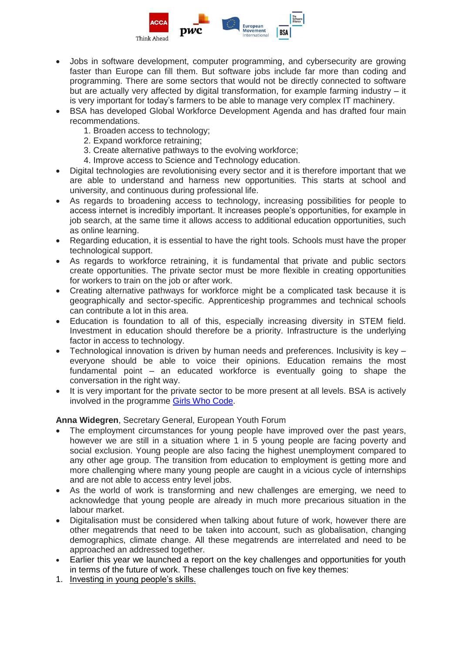

- Jobs in software development, computer programming, and cybersecurity are growing faster than Europe can fill them. But software jobs include far more than coding and programming. There are some sectors that would not be directly connected to software but are actually very affected by digital transformation, for example farming industry – it is very important for today's farmers to be able to manage very complex IT machinery.
- BSA has developed Global Workforce Development Agenda and has drafted four main recommendations.
	- 1. Broaden access to technology;
	- 2. Expand workforce retraining;
	- 3. Create alternative pathways to the evolving workforce;
	- 4. Improve access to Science and Technology education.
- Digital technologies are revolutionising every sector and it is therefore important that we are able to understand and harness new opportunities. This starts at school and university, and continuous during professional life.
- As regards to broadening access to technology, increasing possibilities for people to access internet is incredibly important. It increases people's opportunities, for example in job search, at the same time it allows access to additional education opportunities, such as online learning.
- Regarding education, it is essential to have the right tools. Schools must have the proper technological support.
- As regards to workforce retraining, it is fundamental that private and public sectors create opportunities. The private sector must be more flexible in creating opportunities for workers to train on the job or after work.
- Creating alternative pathways for workforce might be a complicated task because it is geographically and sector-specific. Apprenticeship programmes and technical schools can contribute a lot in this area.
- Education is foundation to all of this, especially increasing diversity in STEM field. Investment in education should therefore be a priority. Infrastructure is the underlying factor in access to technology.
- Technological innovation is driven by human needs and preferences. Inclusivity is key everyone should be able to voice their opinions. Education remains the most fundamental point – an educated workforce is eventually going to shape the conversation in the right way.
- It is very important for the private sector to be more present at all levels. BSA is actively involved in the programme [Girls Who Code.](https://girlswhocode.com/)

### **Anna Widegren**, Secretary General, European Youth Forum

- The employment circumstances for young people have improved over the past years, however we are still in a situation where 1 in 5 young people are facing poverty and social exclusion. Young people are also facing the highest unemployment compared to any other age group. The transition from education to employment is getting more and more challenging where many young people are caught in a vicious cycle of internships and are not able to access entry level jobs.
- As the world of work is transforming and new challenges are emerging, we need to acknowledge that young people are already in much more precarious situation in the labour market.
- Digitalisation must be considered when talking about future of work, however there are other megatrends that need to be taken into account, such as globalisation, changing demographics, climate change. All these megatrends are interrelated and need to be approached an addressed together.
- Earlier this year we launched a report on the key challenges and opportunities for youth in terms of the future of work. These challenges touch on five key themes:
- 1. Investing in young people's skills.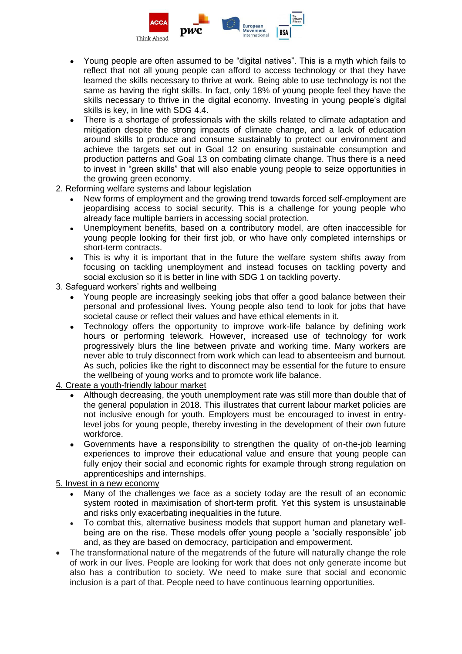

- Young people are often assumed to be "digital natives". This is a myth which fails to reflect that not all young people can afford to access technology or that they have learned the skills necessary to thrive at work. Being able to use technology is not the same as having the right skills. In fact, only 18% of young people feel they have the skills necessary to thrive in the digital economy. Investing in young people's digital skills is key, in line with SDG 4.4.
- There is a shortage of professionals with the skills related to climate adaptation and mitigation despite the strong impacts of climate change, and a lack of education around skills to produce and consume sustainably to protect our environment and achieve the targets set out in Goal 12 on ensuring sustainable consumption and production patterns and Goal 13 on combating climate change. Thus there is a need to invest in "green skills" that will also enable young people to seize opportunities in the growing green economy.
- 2. Reforming welfare systems and labour legislation
	- New forms of employment and the growing trend towards forced self-employment are jeopardising access to social security. This is a challenge for young people who already face multiple barriers in accessing social protection.
	- Unemployment benefits, based on a contributory model, are often inaccessible for young people looking for their first job, or who have only completed internships or short-term contracts.
	- This is why it is important that in the future the welfare system shifts away from focusing on tackling unemployment and instead focuses on tackling poverty and social exclusion so it is better in line with SDG 1 on tackling poverty.
- 3. Safeguard workers' rights and wellbeing
	- Young people are increasingly seeking jobs that offer a good balance between their personal and professional lives. Young people also tend to look for jobs that have societal cause or reflect their values and have ethical elements in it.
	- Technology offers the opportunity to improve work-life balance by defining work hours or performing telework. However, increased use of technology for work progressively blurs the line between private and working time. Many workers are never able to truly disconnect from work which can lead to absenteeism and burnout. As such, policies like the right to disconnect may be essential for the future to ensure the wellbeing of young works and to promote work life balance.
- 4. Create a youth-friendly labour market
	- Although decreasing, the youth unemployment rate was still more than double that of the general population in 2018. This illustrates that current labour market policies are not inclusive enough for youth. Employers must be encouraged to invest in entrylevel jobs for young people, thereby investing in the development of their own future workforce.
	- Governments have a responsibility to strengthen the quality of on-the-job learning experiences to improve their educational value and ensure that young people can fully enjoy their social and economic rights for example through strong regulation on apprenticeships and internships.

5. Invest in a new economy

- Many of the challenges we face as a society today are the result of an economic system rooted in maximisation of short-term profit. Yet this system is unsustainable and risks only exacerbating inequalities in the future.
- To combat this, alternative business models that support human and planetary wellbeing are on the rise. These models offer young people a 'socially responsible' job and, as they are based on democracy, participation and empowerment.
- The transformational nature of the megatrends of the future will naturally change the role of work in our lives. People are looking for work that does not only generate income but also has a contribution to society. We need to make sure that social and economic inclusion is a part of that. People need to have continuous learning opportunities.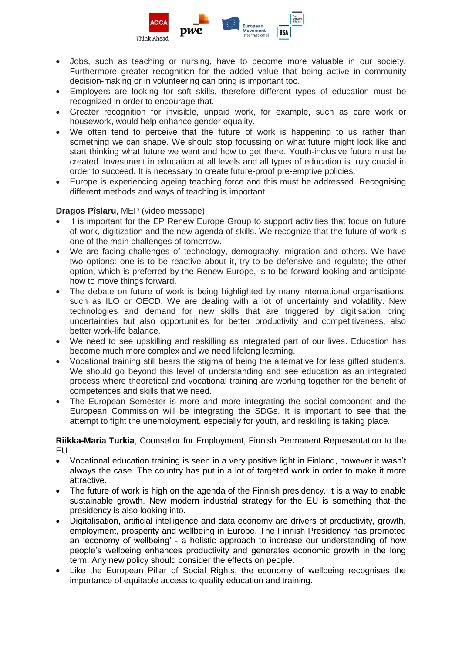

- Jobs, such as teaching or nursing, have to become more valuable in our society. Furthermore greater recognition for the added value that being active in community decision-making or in volunteering can bring is important too.
- Employers are looking for soft skills, therefore different types of education must be recognized in order to encourage that.
- Greater recognition for invisible, unpaid work, for example, such as care work or housework, would help enhance gender equality.
- We often tend to perceive that the future of work is happening to us rather than something we can shape. We should stop focussing on what future might look like and start thinking what future we want and how to get there. Youth-inclusive future must be created. Investment in education at all levels and all types of education is truly crucial in order to succeed. It is necessary to create future-proof pre-emptive policies.
- Europe is experiencing ageing teaching force and this must be addressed. Recognising different methods and ways of teaching is important.

### **Dragos Pîslaru**, MEP (video message)

- It is important for the EP Renew Europe Group to support activities that focus on future of work, digitization and the new agenda of skills. We recognize that the future of work is one of the main challenges of tomorrow.
- We are facing challenges of technology, demography, migration and others. We have two options: one is to be reactive about it, try to be defensive and regulate; the other option, which is preferred by the Renew Europe, is to be forward looking and anticipate how to move things forward.
- The debate on future of work is being highlighted by many international organisations, such as ILO or OECD. We are dealing with a lot of uncertainty and volatility. New technologies and demand for new skills that are triggered by digitisation bring uncertainties but also opportunities for better productivity and competitiveness, also better work-life balance.
- We need to see upskilling and reskilling as integrated part of our lives. Education has become much more complex and we need lifelong learning.
- Vocational training still bears the stigma of being the alternative for less gifted students. We should go beyond this level of understanding and see education as an integrated process where theoretical and vocational training are working together for the benefit of competences and skills that we need.
- The European Semester is more and more integrating the social component and the European Commission will be integrating the SDGs. It is important to see that the attempt to fight the unemployment, especially for youth, and reskilling is taking place.

**Riikka-Maria Turkia**, Counsellor for Employment, Finnish Permanent Representation to the EU

- Vocational education training is seen in a very positive light in Finland, however it wasn't always the case. The country has put in a lot of targeted work in order to make it more attractive.
- The future of work is high on the agenda of the Finnish presidency. It is a way to enable sustainable growth. New modern industrial strategy for the EU is something that the presidency is also looking into.
- Digitalisation, artificial intelligence and data economy are drivers of productivity, growth, employment, prosperity and wellbeing in Europe. The Finnish Presidency has promoted an 'economy of wellbeing' - a holistic approach to increase our understanding of how people's wellbeing enhances productivity and generates economic growth in the long term. Any new policy should consider the effects on people.
- Like the European Pillar of Social Rights, the economy of wellbeing recognises the importance of equitable access to quality education and training.